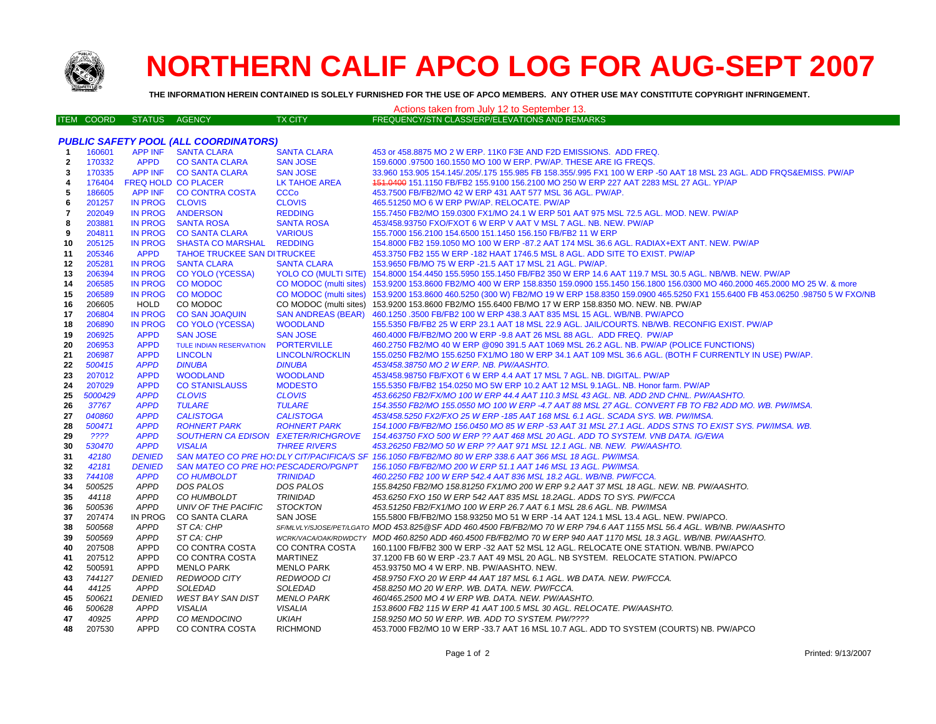

## **NORTHERN CALIF APCO LOG FOR AUG-SEPT 2007**

**THE INFORMATION HEREIN CONTAINED IS SOLELY FURNISHED FOR THE USE OF APCO MEMBERS. ANY OTHER USE MAY CONSTITUTE COPYRIGHT INFRINGEMENT.**

| Actions taken from July 12 to September 13. |                  |                              |                                      |                                         |                                                                                                                                                   |  |  |  |  |  |
|---------------------------------------------|------------------|------------------------------|--------------------------------------|-----------------------------------------|---------------------------------------------------------------------------------------------------------------------------------------------------|--|--|--|--|--|
|                                             | ITEM COORD       | <b>STATUS</b>                | <b>AGENCY</b>                        | TX CITY                                 | FREQUENCY/STN CLASS/ERP/ELEVATIONS AND REMARKS                                                                                                    |  |  |  |  |  |
|                                             |                  |                              |                                      |                                         |                                                                                                                                                   |  |  |  |  |  |
| PUBLIC SAFETY POOL (ALL COORDINATORS)       |                  |                              |                                      |                                         |                                                                                                                                                   |  |  |  |  |  |
| -1                                          | 160601           | <b>APP INF</b>               | <b>SANTA CLARA</b>                   | <b>SANTA CLARA</b>                      | 453 or 458.8875 MO 2 W ERP. 11K0 F3E AND F2D EMISSIONS. ADD FREQ.                                                                                 |  |  |  |  |  |
| $\mathbf{2}$                                | 170332           | <b>APPD</b>                  | <b>CO SANTA CLARA</b>                | <b>SAN JOSE</b>                         | 159,6000 .97500 160.1550 MO 100 W ERP. PW/AP. THESE ARE IG FREQS.                                                                                 |  |  |  |  |  |
| 3                                           | 170335           |                              | APP INF CO SANTA CLARA               | <b>SAN JOSE</b>                         | 33.960 153.905 154.145/.205/.175 155.985 FB 158.355/.995 FX1 100 W ERP -50 AAT 18 MSL 23 AGL. ADD FRQS&EMISS. PW/AP                               |  |  |  |  |  |
| $\overline{\mathbf{4}}$                     | 176404           |                              | <b>FREQ HOLD CO PLACER</b>           | LK TAHOE AREA                           | 451.0400 151.1150 FB/FB2 155.9100 156.2100 MO 250 W ERP 227 AAT 2283 MSL 27 AGL. YP/AP                                                            |  |  |  |  |  |
| 5                                           | 186605           | APP INF                      | <b>CO CONTRA COSTA</b>               | <b>CCCo</b>                             | 453.7500 FB/FB2/MO 42 W ERP 431 AAT 577 MSL 36 AGL. PW/AP.                                                                                        |  |  |  |  |  |
| 6                                           | 201257           | IN PROG CLOVIS               |                                      | <b>CLOVIS</b>                           | 465.51250 MO 6 W ERP PW/AP. RELOCATE. PW/AP                                                                                                       |  |  |  |  |  |
| $\overline{7}$                              | 202049           | <b>IN PROG</b>               | <b>ANDERSON</b>                      | <b>REDDING</b>                          | 155.7450 FB2/MO 159.0300 FX1/MO 24.1 W ERP 501 AAT 975 MSL 72.5 AGL. MOD. NEW. PW/AP                                                              |  |  |  |  |  |
| 8                                           | 203881           | <b>IN PROG</b>               | <b>SANTA ROSA</b>                    | <b>SANTA ROSA</b>                       | 453/458.93750 FXO/FXOT 6 W ERP V AAT V MSL 7 AGL. NB. NEW. PW/AP                                                                                  |  |  |  |  |  |
| 9                                           | 204811           | <b>IN PROG</b>               | <b>CO SANTA CLARA</b>                | <b>VARIOUS</b>                          | 155.7000 156.2100 154.6500 151.1450 156.150 FB/FB2 11 W ERP                                                                                       |  |  |  |  |  |
| 10                                          | 205125           | <b>IN PROG</b>               | <b>SHASTA CO MARSHAL</b>             | <b>REDDING</b>                          | 154.8000 FB2 159.1050 MO 100 W ERP -87.2 AAT 174 MSL 36.6 AGL. RADIAX+EXT ANT. NEW. PW/AP                                                         |  |  |  |  |  |
| 11                                          | 205346           | <b>APPD</b>                  | <b>TAHOE TRUCKEE SAN DITRUCKEE</b>   |                                         | 453.3750 FB2 155 W ERP -182 HAAT 1746.5 MSL 8 AGL. ADD SITE TO EXIST. PW/AP                                                                       |  |  |  |  |  |
| 12                                          | 205281           | <b>IN PROG</b>               | <b>SANTA CLARA</b>                   | <b>SANTA CLARA</b>                      | 153.9650 FB/MO 75 W ERP -21.5 AAT 17 MSL 21 AGL. PW/AP.                                                                                           |  |  |  |  |  |
| 13                                          | 206394           | <b>IN PROG</b>               | <b>CO YOLO (YCESSA)</b>              |                                         | YOLO CO (MULTI SITE) 154.8000 154.4450 155.5950 155.1450 FB/FB2 350 W ERP 14.6 AAT 119.7 MSL 30.5 AGL. NB/WB. NEW. PW/AP                          |  |  |  |  |  |
| 14                                          | 206585           | <b>IN PROG</b>               | <b>CO MODOC</b>                      |                                         | CO MODOC (multi sites) 153.9200 153.8600 FB2/MO 400 W ERP 158.8350 159.0900 155.1450 156.1800 156.0300 MO 460.2000 465.2000 MO 25 W. & more       |  |  |  |  |  |
| 15                                          | 206589           | <b>IN PROG</b>               | <b>CO MODOC</b>                      |                                         | CO MODOC (multi sites) 153.9200 153.8600 460.5250 (300 W) FB2/MO 19 W ERP 158.8350 159.0900 465.5250 FX1 155.6400 FB 453.06250 .98750 5 W FXO/NB  |  |  |  |  |  |
| 16                                          | 206605           | HOLD                         | CO MODOC                             |                                         | CO MODOC (multi sites) 153.9200 153.8600 FB2/MO 155.6400 FB/MO 17 W ERP 158.8350 MO. NEW. NB. PW/AP                                               |  |  |  |  |  |
| 17                                          | 206804           | <b>IN PROG</b>               | <b>CO SAN JOAQUIN</b>                | SAN ANDREAS (BEAR)                      | 460.1250 .3500 FB/FB2 100 W ERP 438.3 AAT 835 MSL 15 AGL. WB/NB. PW/APCO                                                                          |  |  |  |  |  |
| 18                                          | 206890           | <b>IN PROG</b>               | <b>CO YOLO (YCESSA)</b>              | <b>WOODLAND</b>                         | 155.5350 FB/FB2 25 W ERP 23.1 AAT 18 MSL 22.9 AGL. JAIL/COURTS. NB/WB. RECONFIG EXIST. PW/AP                                                      |  |  |  |  |  |
| 19                                          | 206925           | <b>APPD</b>                  | <b>SAN JOSE</b>                      | <b>SAN JOSE</b>                         | 460.4000 FB/FB2/MO 200 W ERP -9.8 AAT 26 MSL 88 AGL. ADD FREQ. PW/AP                                                                              |  |  |  |  |  |
| 20                                          | 206953           | <b>APPD</b>                  | <b>TULE INDIAN RESERVATION</b>       | <b>PORTERVILLE</b>                      | 460.2750 FB2/MO 40 W ERP @090 391.5 AAT 1069 MSL 26.2 AGL. NB. PW/AP (POLICE FUNCTIONS)                                                           |  |  |  |  |  |
| 21<br>22                                    | 206987<br>500415 | <b>APPD</b><br><b>APPD</b>   | <b>LINCOLN</b><br><b>DINUBA</b>      | <b>LINCOLN/ROCKLIN</b><br><b>DINUBA</b> | 155.0250 FB2/MO 155.6250 FX1/MO 180 W ERP 34.1 AAT 109 MSL 36.6 AGL. (BOTH F CURRENTLY IN USE) PW/AP.<br>453/458.38750 MO 2 W ERP. NB. PW/AASHTO. |  |  |  |  |  |
| 23                                          | 207012           | <b>APPD</b>                  | <b>WOODLAND</b>                      | <b>WOODLAND</b>                         | 453/458.98750 FB/FXOT 6 W ERP 4.4 AAT 17 MSL 7 AGL. NB. DIGITAL. PW/AP                                                                            |  |  |  |  |  |
| 24                                          | 207029           | <b>APPD</b>                  | <b>CO STANISLAUSS</b>                | <b>MODESTO</b>                          | 155.5350 FB/FB2 154.0250 MO 5W ERP 10.2 AAT 12 MSL 9.1AGL. NB. Honor farm. PW/AP                                                                  |  |  |  |  |  |
| 25                                          | 5000429          | <b>APPD</b>                  | <b>CLOVIS</b>                        | <b>CLOVIS</b>                           | 453.66250 FB2/FX/MO 100 W ERP 44.4 AAT 110.3 MSL 43 AGL. NB. ADD 2ND CHNL. PW/AASHTO.                                                             |  |  |  |  |  |
| 26                                          | 37767            | <b>APPD</b>                  | <b>TULARE</b>                        | <b>TULARE</b>                           | 154.3550 FB2/MO 155.0550 MO 100 W ERP -4.7 AAT 88 MSL 27 AGL. CONVERT FB TO FB2 ADD MO. WB. PW/IMSA.                                              |  |  |  |  |  |
| 27                                          | 040860           | <b>APPD</b>                  | <b>CALISTOGA</b>                     | <b>CALISTOGA</b>                        | 453/458.5250 FX2/FXO 25 W ERP -185 AAT 168 MSL 6.1 AGL. SCADA SYS. WB. PW/IMSA.                                                                   |  |  |  |  |  |
| 28                                          | 500471           | <b>APPD</b>                  | <b>ROHNERT PARK</b>                  | <b>ROHNERT PARK</b>                     | 154.1000 FB/FB2/MO 156.0450 MO 85 W ERP -53 AAT 31 MSL 27.1 AGL. ADDS STNS TO EXIST SYS. PW/IMSA. WB.                                             |  |  |  |  |  |
| 29                                          | ????             | <b>APPD</b>                  | SOUTHERN CA EDISON EXETER/RICHGROVE  |                                         | 154.463750 FXO 500 W ERP ?? AAT 468 MSL 20 AGL. ADD TO SYSTEM. VNB DATA. IG/EWA                                                                   |  |  |  |  |  |
| 30                                          | 530470           | <b>APPD</b>                  | <b>VISALIA</b>                       | <b>THREE RIVERS</b>                     | 453.26250 FB2/MO 50 W ERP ?? AAT 971 MSL 12.1 AGL. NB. NEW. PW/AASHTO.                                                                            |  |  |  |  |  |
| 31                                          | 42180            | <b>DENIED</b>                |                                      |                                         | SAN MATEO CO PRE HO: DLY CIT/PACIFICA/S SF 156.1050 FB/FB2/MO 80 W ERP 338.6 AAT 366 MSL 18 AGL. PW/IMSA.                                         |  |  |  |  |  |
| 32                                          | 42181            | <b>DENIED</b>                | SAN MATEO CO PRE HO: PESCADERO/PGNPT |                                         | 156.1050 FB/FB2/MO 200 W ERP 51.1 AAT 146 MSL 13 AGL. PW/IMSA                                                                                     |  |  |  |  |  |
| 33                                          | 744108           | <b>APPD</b>                  | <b>CO HUMBOLDT</b>                   | <b>TRINIDAD</b>                         | 460.2250 FB2 100 W ERP 542.4 AAT 836 MSL 18.2 AGL. WB/NB. PW/FCCA.                                                                                |  |  |  |  |  |
| 34                                          | 500525           | <b>APPD</b>                  | DOS PALOS                            | DOS PALOS                               | 155.84250 FB2/MO 158.81250 FX1/MO 200 W ERP 9.2 AAT 37 MSL 18 AGL. NEW. NB. PW/AASHTO.                                                            |  |  |  |  |  |
| 35                                          | 44118            | <b>APPD</b>                  | CO HUMBOLDT                          | <b>TRINIDAD</b>                         | 453.6250 FXO 150 W ERP 542 AAT 835 MSL 18.2AGL. ADDS TO SYS. PW/FCCA                                                                              |  |  |  |  |  |
| 36                                          | 500536           | <b>APPD</b>                  | UNIV OF THE PACIFIC                  | <b>STOCKTON</b>                         | 453.51250 FB2/FX1/MO 100 W ERP 26.7 AAT 6.1 MSL 28.6 AGL. NB. PW/IMSA                                                                             |  |  |  |  |  |
| 37                                          | 207474           | IN PROG                      | CO SANTA CLARA                       | SAN JOSE                                | 155.5800 FB/FB2/MO 158.93250 MO 51 W ERP -14 AAT 124.1 MSL 13.4 AGL. NEW. PW/APCO.                                                                |  |  |  |  |  |
| 38                                          | 500568           | APPD                         | ST CA: CHP                           |                                         | SF/MLVLY/SJOSE/PET/LGATO MOD 453.825@SF ADD 460.4500 FB/FB2/MO 70 W ERP 794.6 AAT 1155 MSL 56.4 AGL. WB/NB. PW/AASHTO                             |  |  |  |  |  |
| 39                                          | 500569           | <b>APPD</b>                  | ST CA: CHP                           |                                         | WCRKVACA/OAK/RDWDCTY MOD 460.8250 ADD 460.4500 FB/FB2/MO 70 W ERP 940 AAT 1170 MSL 18.3 AGL. WB/NB. PW/AASHTO.                                    |  |  |  |  |  |
| 40                                          | 207508           | <b>APPD</b>                  | CO CONTRA COSTA                      | CO CONTRA COSTA                         | 160.1100 FB/FB2 300 W ERP -32 AAT 52 MSL 12 AGL. RELOCATE ONE STATION. WB/NB. PW/APCO                                                             |  |  |  |  |  |
| 41                                          | 207512           | <b>APPD</b>                  | CO CONTRA COSTA                      | <b>MARTINEZ</b>                         | 37.1200 FB 60 W ERP -23.7 AAT 49 MSL 20 AGL. NB SYSTEM. RELOCATE STATION. PW/APCO                                                                 |  |  |  |  |  |
| 42                                          | 500591           | <b>APPD</b>                  | <b>MENLO PARK</b>                    | <b>MENLO PARK</b>                       | 453.93750 MO 4 W ERP. NB. PW/AASHTO. NEW.                                                                                                         |  |  |  |  |  |
| 43                                          | 744127           | <b>DENIED</b>                | <b>REDWOOD CITY</b>                  | REDWOOD CI                              | 458.9750 FXO 20 W ERP 44 AAT 187 MSL 6.1 AGL. WB DATA. NEW. PW/FCCA.                                                                              |  |  |  |  |  |
| 44                                          | 44125            | <b>APPD</b>                  | <b>SOLEDAD</b>                       | SOLEDAD                                 | 458.8250 MO 20 W ERP. WB. DATA. NEW. PW/FCCA.                                                                                                     |  |  |  |  |  |
| 45                                          | 500621           | <b>DENIED</b><br><b>APPD</b> | <b>WEST BAY SAN DIST</b>             | <b>MENLO PARK</b>                       | 460/465.2500 MO 4 W ERP WB. DATA. NEW. PW/AASHTO.<br>153.8600 FB2 115 W ERP 41 AAT 100.5 MSL 30 AGL. RELOCATE. PW/AASHTO.                         |  |  |  |  |  |
| 46<br>47                                    | 500628<br>40925  | <b>APPD</b>                  | <b>VISALIA</b><br>CO MENDOCINO       | <b>VISALIA</b><br><b>UKIAH</b>          | 158.9250 MO 50 W ERP. WB. ADD TO SYSTEM. PW/????                                                                                                  |  |  |  |  |  |
| 48                                          | 207530           | <b>APPD</b>                  | CO CONTRA COSTA                      | <b>RICHMOND</b>                         | 453.7000 FB2/MO 10 W ERP -33.7 AAT 16 MSL 10.7 AGL. ADD TO SYSTEM (COURTS) NB. PW/APCO                                                            |  |  |  |  |  |
|                                             |                  |                              |                                      |                                         |                                                                                                                                                   |  |  |  |  |  |